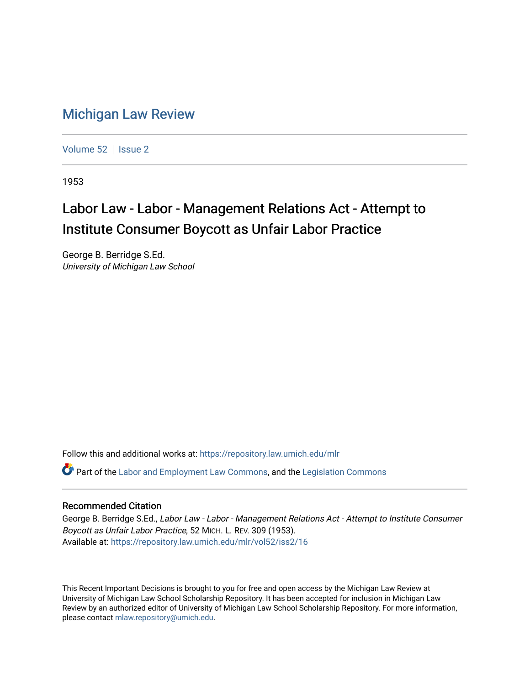## [Michigan Law Review](https://repository.law.umich.edu/mlr)

[Volume 52](https://repository.law.umich.edu/mlr/vol52) | [Issue 2](https://repository.law.umich.edu/mlr/vol52/iss2)

1953

## Labor Law - Labor - Management Relations Act - Attempt to Institute Consumer Boycott as Unfair Labor Practice

George B. Berridge S.Ed. University of Michigan Law School

Follow this and additional works at: [https://repository.law.umich.edu/mlr](https://repository.law.umich.edu/mlr?utm_source=repository.law.umich.edu%2Fmlr%2Fvol52%2Fiss2%2F16&utm_medium=PDF&utm_campaign=PDFCoverPages) 

 $\bullet$  Part of the [Labor and Employment Law Commons](http://network.bepress.com/hgg/discipline/909?utm_source=repository.law.umich.edu%2Fmlr%2Fvol52%2Fiss2%2F16&utm_medium=PDF&utm_campaign=PDFCoverPages), and the Legislation Commons

## Recommended Citation

George B. Berridge S.Ed., Labor Law - Labor - Management Relations Act - Attempt to Institute Consumer Boycott as Unfair Labor Practice, 52 MICH. L. REV. 309 (1953). Available at: [https://repository.law.umich.edu/mlr/vol52/iss2/16](https://repository.law.umich.edu/mlr/vol52/iss2/16?utm_source=repository.law.umich.edu%2Fmlr%2Fvol52%2Fiss2%2F16&utm_medium=PDF&utm_campaign=PDFCoverPages) 

This Recent Important Decisions is brought to you for free and open access by the Michigan Law Review at University of Michigan Law School Scholarship Repository. It has been accepted for inclusion in Michigan Law Review by an authorized editor of University of Michigan Law School Scholarship Repository. For more information, please contact [mlaw.repository@umich.edu.](mailto:mlaw.repository@umich.edu)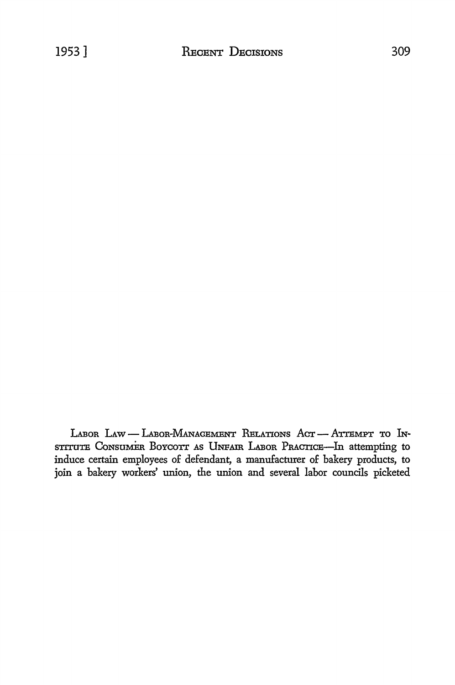LABOR LAW - LABOR-MANAGEMENT RELATIONS ACT - ATTEMPT TO IN-STITUTE CONSUMER BOYCOTT AS UNFAIR LABOR PRACTICE—In attempting to induce certain employees of defendant, a manufacturer of bakery products, to join a bakery workers' union, the union and several labor councils picketed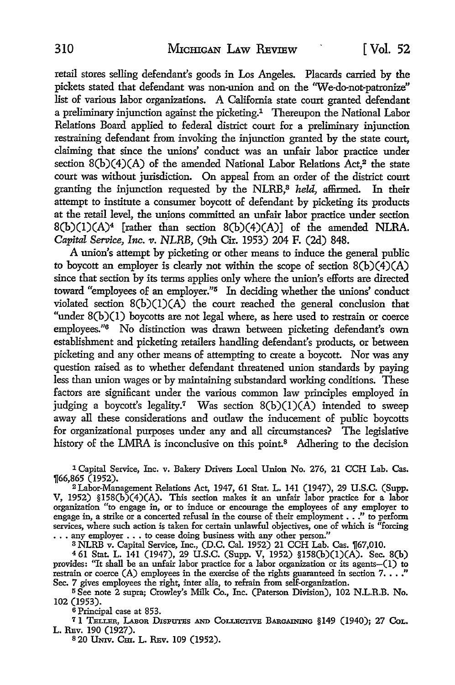retail stores selling defendant's goods in Los Angeles. Placards carried by the pickets stated that defendant was non-union and on the 'We-do-not-patronize" list of various labor organizations. A California state court granted defendant a preliminary injunction against the picketing.<sup>1</sup> Thereupon the National Labor Relations Board applied to federal district court for a preliminary injunction restraining defendant from invoking the injunction granted by the state court, claiming that since the unions' conduct was an unfair labor practice under section  $8(b)(4)(A)$  of the amended National Labor Relations Act,<sup>2</sup> the state court was without jurisdiction. On appeal from an order of the district court granting the injunction requested by the NLRB,8 *held,* affirmed. In their attempt to institute a consumer boycott of defendant by picketing its products at the retail level, the unions committed an unfair labor practice under section  $8(b)(1)(A)^4$  [rather than section  $8(b)(4)(A)$ ] of the amended NLRA. *Capital Service, Inc. 11. NLRB,* (9th Cir. 1953) 204 F. (2d) 848.

A union's attempt by picketing or other means to induce the general public to boycott an employer is clearly not within the scope of section  $8(b)(4)(A)$ since that section by its terms applies only where the union's efforts are directed toward "employees of an employer."5 In deciding whether the unions' conduct violated section  $8(b)(1)(A)$  the court reached the general conclusion that "under  $8(b)(1)$  boycotts are not legal where, as here used to restrain or coerce employees."6 No distinction was drawn between picketing defendant's own establishment and picketing retailers handling defendant's products, or between picketing and any other means of attempting to create a boycott. Nor was any question raised as to whether defendant threatened union standards by paying less than union wages or by maintaining substandard working conditions. These factors are significant under the various common law principles employed in judging a boycott's legality.<sup>7</sup> Was section  $8(b)(1)(A)$  intended to sweep away all these considerations and outlaw the inducement of public boycotts for organizational purposes under any and all circumstances? The legislative history of the LMRA is inconclusive on this point.<sup>8</sup> Adhering to the decision

1 Capital Service, Inc. v. Bakery Drivers Local Union No. 276, 21 CCH Lab. Cas. 1[66,865 (1952).

<sup>2</sup> Labor-Management Relations Act, 1947, 61 Stat. L. 141 (1947), 29 **U.S.C.** (Supp. V, 1952) §l58(b)(4)(A). This section makes it an unfair labor practice for a labor organization "to engage in, or to induce or encourage the employees of any employer to engage in, a strike or a concerted refusal in the course of their employment •.• " to perform services, where such action is taken for certain unlawful objectives, one of which is "forcing . . . any employer . . . to cease doing business with any other person."

s NLRB v. Capital Service, Inc., (D.C. Cal. 1952) 21 CCH Lab. Cas. 1[67,010.

<sup>4</sup>61 Stat. L. 141 (1947), 29 U.S.C. (Supp. V, 1952) §l58(b)(l)(A). Sec. 8(b) provides: "It shall be an unfair labor practice for a labor organization or its agents--(1) to restrain or coerce (A) employees in the exercise of the rights guaranteed in section  $7. . . . .$ " Sec. 7 gives employees the right, inter alia, to refrain from self-organization.

<sup>5</sup>See note 2 supra; Crowley's Milk Co., Inc. (Paterson Division), 102 N.L.R.B. No. 102 (1953).

<sup>6</sup> Principal case at 853.

71 TELLER, LABon DISPUTES AND CoLLECTIVE BARGAINING §149 (1940); 27 CoL. L. REv. 190 (1927).

s 20 Umv. Cm. L. REv. 109 (1952).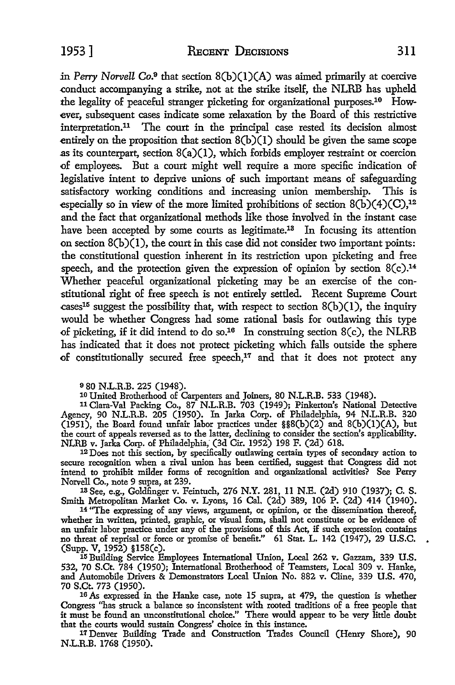in *Perry Norvell* Co.9 that section 8(b)(l)(A) was aimed primarily at coercive .conduct accompanying a strike, not at the strike itself, the NLRB has upheld the legality of peaceful stranger picketing for organizational purposes.<sup>10</sup> However, subsequent cases indicate some relaxation by the Board of this restrictive interpretation.11 The court in the principal case rested its decision almost entirely on the proposition that section  $8(b)(1)$  should be given the same scope as its counterpart, section  $8(a)(1)$ , which forbids employer restraint or coercion of employees. But a court might well require a more specific indication of legislative intent to deprive unions of such important means of safeguarding satisfactory working conditions and increasing union membership. This is especially so in view of the more limited prohibitions of section  $8(b)(4)(C)$ ,<sup>12</sup> and the fact that organizational methods like those involved in the instant case have been accepted by some courts as legitimate.<sup>13</sup> In focusing its attention on section  $8(b)(1)$ , the court in this case did not consider two important points: the constitutional question inherent in its restriction upon picketing and free speech, and the protection given the expression of opinion by section  $8(c).<sup>14</sup>$ Whether peaceful organizational picketing may be an exercise of the constitutional right of free speech is not entirely settled. Recent Supreme Court cases<sup>15</sup> suggest the possibility that, with respect to section  $8(b)(1)$ , the inquiry would be whether Congress had some rational basis for outlawing this type of picketing, if it did intend to do so.<sup>16</sup> In construing section  $8(c)$ , the NLRB has indicated that it does not protect picketing which falls outside the sphere of constitutionally secured free speech,<sup>17</sup> and that it does not protect any

980 N.L.R.B. 225 (1948).<br><sup>10</sup> United Brotherhood of Carpenters and Joiners, 80 N.L.R.B. 533 (1948).<br><sup>11</sup> Clara-Val Packing Co., 87 N.L.R.B. 703 (1949); Pinkerton's National Detective Agency, 90 N.L.R.B. 205 (1950). In Jarka Corp. of Philadelphia, 94 N.L.R.B. 320 (1951), the Board found unfair labor practices under §§8(b)(2) and 8(b)(l)(A), but the court of appeals reversed as to the latter, declining to consider the section's applicability. NLRB v. Jarka Corp. of Philadelphia, (3d Cir. 1952) 198 F. (2d) 618.

12 Does not this section, by specifically outlawing certain types of secondary action to secure recognition when a rival union has been certified, suggest that Congress did not intend to prohibit milder forms of recognition and organizational activities'? See Perry Norvell Co., note 9 supra, at 239.

1s See, e.g., Goldfinger v. Feintuch, 276 **N.Y.** 281, 11 N.E. (2d) 910 (1937); C. S. Smith Metropolitan Market Co. v. Lyons, 16 Cal. (2d) 389, 106 P. (2d) 414 (1940).

14 "The expressing of any views, argument, or opinion, or the dissemination thereof, whether in written, printed, graphic, or visual form, shall not constitute or be evidence of an unfair labor practice under any of the provisions of this Act, if such expression contains no threat of reprisal or force or promise of benefit." 61 Stat. L. 142 (1947), 29 U.S.C. .<br>(Supp. V, 1952) §158(c).

15 Building Service Employees International Union, Local 262 v. Gazzam, 339 U.S. 532, 70 S.Ct. 784 (1950); International Brotherhood of Teamsters, Local 309 v. Hanke, and Automobile Drivers & Demonstrators Local Union No. 882 v. Cline, 339 U.S. 470,

<sup>16</sup> As expressed in the Hanke case, note 15 supra, at 479, the question is whether Congress ''has struck a balance so inconsistent witli rooted traditions of a free people that it must be found an unconstitutional choice." There would appear to be very little doubt that the courts would sustain Congress' choice in this instance.

17 Denver Building Trade and Construction Trades Council (Henry Shore), 90 N.L.R.B. 1768 (1950).